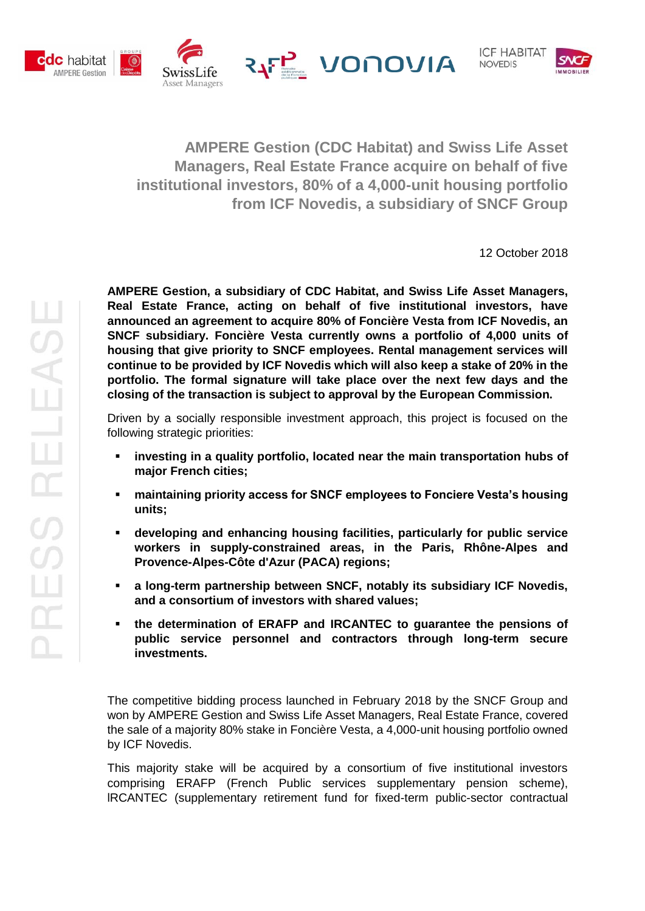



**AMPERE Gestion (CDC Habitat) and Swiss Life Asset Managers, Real Estate France acquire on behalf of five institutional investors, 80% of a 4,000-unit housing portfolio from ICF Novedis, a subsidiary of SNCF Group**

12 October 2018

**AMPERE Gestion, a subsidiary of CDC Habitat, and Swiss Life Asset Managers, Real Estate France, acting on behalf of five institutional investors, have announced an agreement to acquire 80% of Foncière Vesta from ICF Novedis, an SNCF subsidiary. Foncière Vesta currently owns a portfolio of 4,000 units of housing that give priority to SNCF employees. Rental management services will continue to be provided by ICF Novedis which will also keep a stake of 20% in the portfolio. The formal signature will take place over the next few days and the closing of the transaction is subject to approval by the European Commission.**

Driven by a socially responsible investment approach, this project is focused on the following strategic priorities:

- **investing in a quality portfolio, located near the main transportation hubs of major French cities;**
- **maintaining priority access for SNCF employees to Fonciere Vesta's housing units;**
- **developing and enhancing housing facilities, particularly for public service workers in supply-constrained areas, in the Paris, Rhône-Alpes and Provence-Alpes-Côte d'Azur (PACA) regions;**
- **a long-term partnership between SNCF, notably its subsidiary ICF Novedis, and a consortium of investors with shared values;**
- **the determination of ERAFP and IRCANTEC to guarantee the pensions of public service personnel and contractors through long-term secure investments.**

The competitive bidding process launched in February 2018 by the SNCF Group and won by AMPERE Gestion and Swiss Life Asset Managers, Real Estate France, covered the sale of a majority 80% stake in Foncière Vesta, a 4,000-unit housing portfolio owned by ICF Novedis.

This majority stake will be acquired by a consortium of five institutional investors comprising ERAFP (French Public services supplementary pension scheme), lRCANTEC (supplementary retirement fund for fixed-term public-sector contractual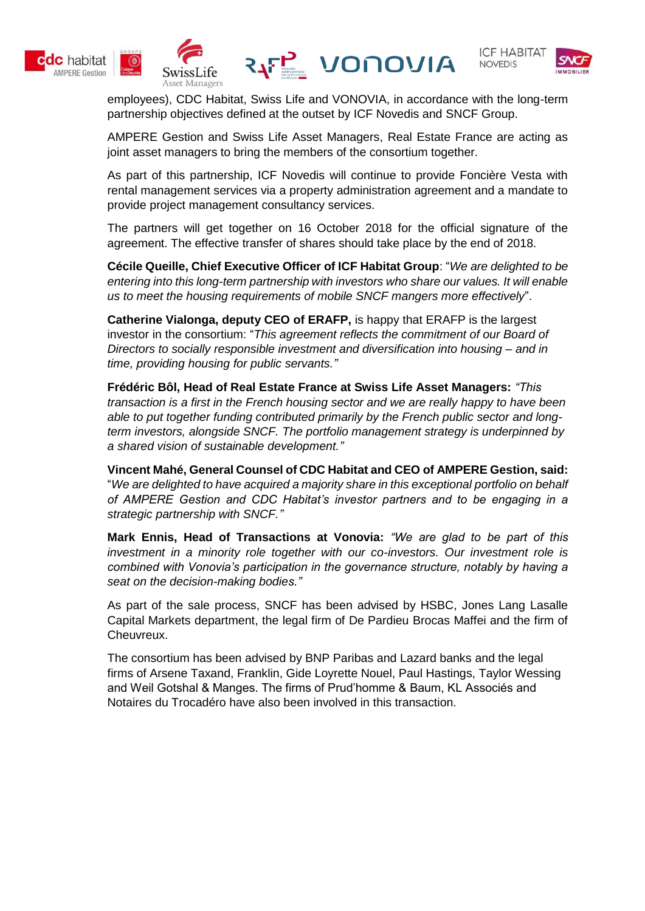





employees), CDC Habitat, Swiss Life and VONOVIA, in accordance with the long-term partnership objectives defined at the outset by ICF Novedis and SNCF Group.

AMPERE Gestion and Swiss Life Asset Managers, Real Estate France are acting as joint asset managers to bring the members of the consortium together.

As part of this partnership, ICF Novedis will continue to provide Foncière Vesta with rental management services via a property administration agreement and a mandate to provide project management consultancy services.

The partners will get together on 16 October 2018 for the official signature of the agreement. The effective transfer of shares should take place by the end of 2018.

**Cécile Queille, Chief Executive Officer of ICF Habitat Group**: "*We are delighted to be entering into this long-term partnership with investors who share our values. It will enable us to meet the housing requirements of mobile SNCF mangers more effectively*".

**Catherine Vialonga, deputy CEO of ERAFP,** is happy that ERAFP is the largest investor in the consortium: "*This agreement reflects the commitment of our Board of Directors to socially responsible investment and diversification into housing – and in time, providing housing for public servants."*

**Frédéric Bôl, Head of Real Estate France at Swiss Life Asset Managers:** *"This transaction is a first in the French housing sector and we are really happy to have been able to put together funding contributed primarily by the French public sector and longterm investors, alongside SNCF. The portfolio management strategy is underpinned by a shared vision of sustainable development."*

**Vincent Mahé, General Counsel of CDC Habitat and CEO of AMPERE Gestion, said:** "*We are delighted to have acquired a majority share in this exceptional portfolio on behalf of AMPERE Gestion and CDC Habitat's investor partners and to be engaging in a strategic partnership with SNCF."*

**Mark Ennis, Head of Transactions at Vonovia:** *"We are glad to be part of this investment in a minority role together with our co-investors. Our investment role is combined with Vonovia's participation in the governance structure, notably by having a seat on the decision-making bodies."*

As part of the sale process, SNCF has been advised by HSBC, Jones Lang Lasalle Capital Markets department, the legal firm of De Pardieu Brocas Maffei and the firm of Cheuvreux.

The consortium has been advised by BNP Paribas and Lazard banks and the legal firms of Arsene Taxand, Franklin, Gide Loyrette Nouel, Paul Hastings, Taylor Wessing and Weil Gotshal & Manges. The firms of Prud'homme & Baum, KL Associés and Notaires du Trocadéro have also been involved in this transaction.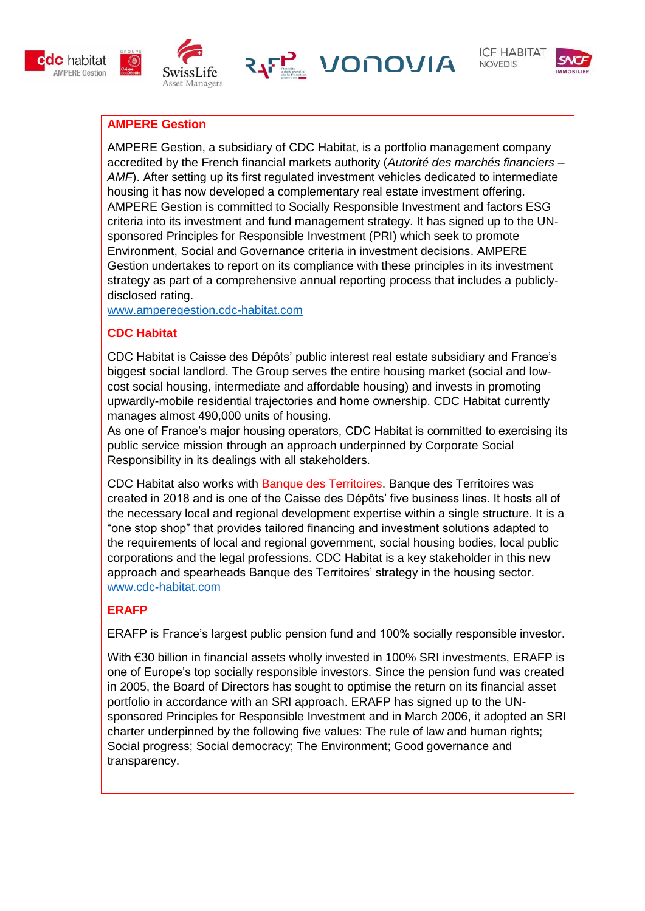







## **AMPERE Gestion**

AMPERE Gestion, a subsidiary of CDC Habitat, is a portfolio management company accredited by the French financial markets authority (*Autorité des marchés financiers –* AMF). After setting up its first regulated investment vehicles dedicated to intermediate housing it has now developed a complementary real estate investment offering. AMPERE Gestion is committed to Socially Responsible Investment and factors ESG criteria into its investment and fund management strategy. It has signed up to the UNsponsored Principles for Responsible Investment (PRI) which seek to promote Environment, Social and Governance criteria in investment decisions. AMPERE Gestion undertakes to report on its compliance with these principles in its investment strategy as part of a comprehensive annual reporting process that includes a publiclydisclosed rating.

[www.amperegestion.cdc-habitat.com](http://www.amperegestion.cdc-habitat.com/)

# **CDC Habitat**

CDC Habitat is Caisse des Dépôts' public interest real estate subsidiary and France's biggest social landlord. The Group serves the entire housing market (social and lowcost social housing, intermediate and affordable housing) and invests in promoting upwardly-mobile residential trajectories and home ownership. CDC Habitat currently manages almost 490,000 units of housing.

As one of France's major housing operators, CDC Habitat is committed to exercising its public service mission through an approach underpinned by Corporate Social Responsibility in its dealings with all stakeholders.

CDC Habitat also works with Banque des Territoires. Banque des Territoires was created in 2018 and is one of the Caisse des Dépôts' five business lines. It hosts all of the necessary local and regional development expertise within a single structure. It is a "one stop shop" that provides tailored financing and investment solutions adapted to the requirements of local and regional government, social housing bodies, local public corporations and the legal professions. CDC Habitat is a key stakeholder in this new approach and spearheads Banque des Territoires' strategy in the housing sector. [www.cdc-habitat.com](http://www.amperegestion.cdc-habitat.com/)

# **ERAFP**

ERAFP is France's largest public pension fund and 100% socially responsible investor.

With €30 billion in financial assets wholly invested in 100% SRI investments, ERAFP is one of Europe's top socially responsible investors. Since the pension fund was created in 2005, the Board of Directors has sought to optimise the return on its financial asset portfolio in accordance with an SRI approach. ERAFP has signed up to the UNsponsored Principles for Responsible Investment and in March 2006, it adopted an SRI charter underpinned by the following five values: The rule of law and human rights; Social progress; Social democracy; The Environment; Good governance and transparency.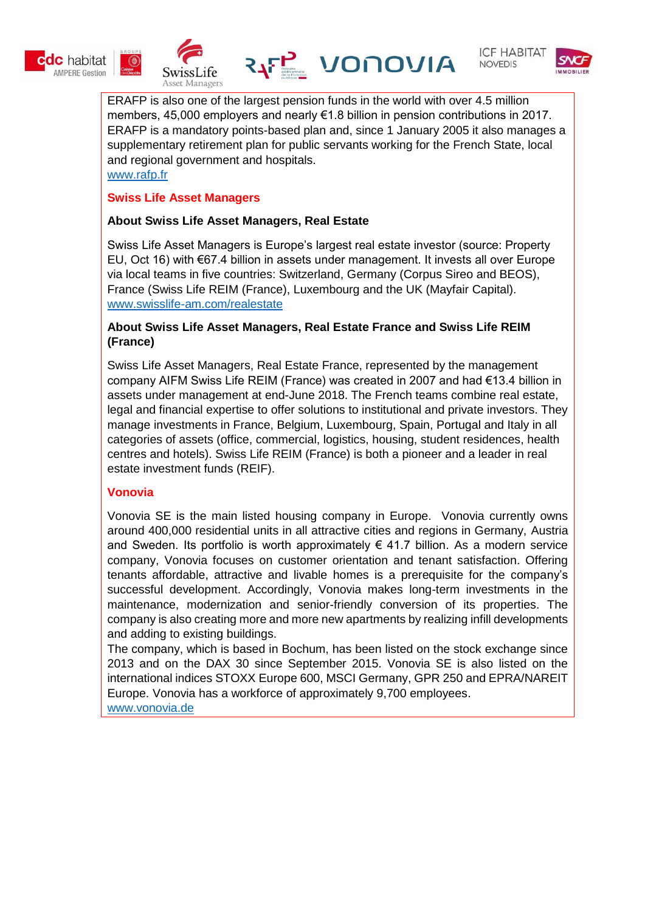











ERAFP is also one of the largest pension funds in the world with over 4.5 million members, 45,000 employers and nearly €1.8 billion in pension contributions in 2017. ERAFP is a mandatory points-based plan and, since 1 January 2005 it also manages a supplementary retirement plan for public servants working for the French State, local and regional government and hospitals. [www.rafp.fr](http://www.rafp.fr/)

### **Swiss Life Asset Managers**

### **About Swiss Life Asset Managers, Real Estate**

Swiss Life Asset Managers is Europe's largest real estate investor (source: Property EU, Oct 16) with €67.4 billion in assets under management. It invests all over Europe via local teams in five countries: Switzerland, Germany (Corpus Sireo and BEOS), France (Swiss Life REIM (France), Luxembourg and the UK (Mayfair Capital). www.swisslife-am.com/realestate

#### **About Swiss Life Asset Managers, Real Estate France and Swiss Life REIM (France)**

Swiss Life Asset Managers, Real Estate France, represented by the management company AIFM Swiss Life REIM (France) was created in 2007 and had €13.4 billion in assets under management at end-June 2018. The French teams combine real estate, legal and financial expertise to offer solutions to institutional and private investors. They manage investments in France, Belgium, Luxembourg, Spain, Portugal and Italy in all categories of assets (office, commercial, logistics, housing, student residences, health centres and hotels). Swiss Life REIM (France) is both a pioneer and a leader in real estate investment funds (REIF).

## **Vonovia**

Vonovia SE is the main listed housing company in Europe. Vonovia currently owns around 400,000 residential units in all attractive cities and regions in Germany, Austria and Sweden. Its portfolio is worth approximately  $\epsilon$  41.7 billion. As a modern service company, Vonovia focuses on customer orientation and tenant satisfaction. Offering tenants affordable, attractive and livable homes is a prerequisite for the company's successful development. Accordingly, Vonovia makes long-term investments in the maintenance, modernization and senior-friendly conversion of its properties. The company is also creating more and more new apartments by realizing infill developments and adding to existing buildings.

The company, which is based in Bochum, has been listed on the stock exchange since 2013 and on the DAX 30 since September 2015. Vonovia SE is also listed on the international indices STOXX Europe 600, MSCI Germany, GPR 250 and EPRA/NAREIT Europe. Vonovia has a workforce of approximately 9,700 employees.

[www.vonovia.de](http://www.vonovia.de/)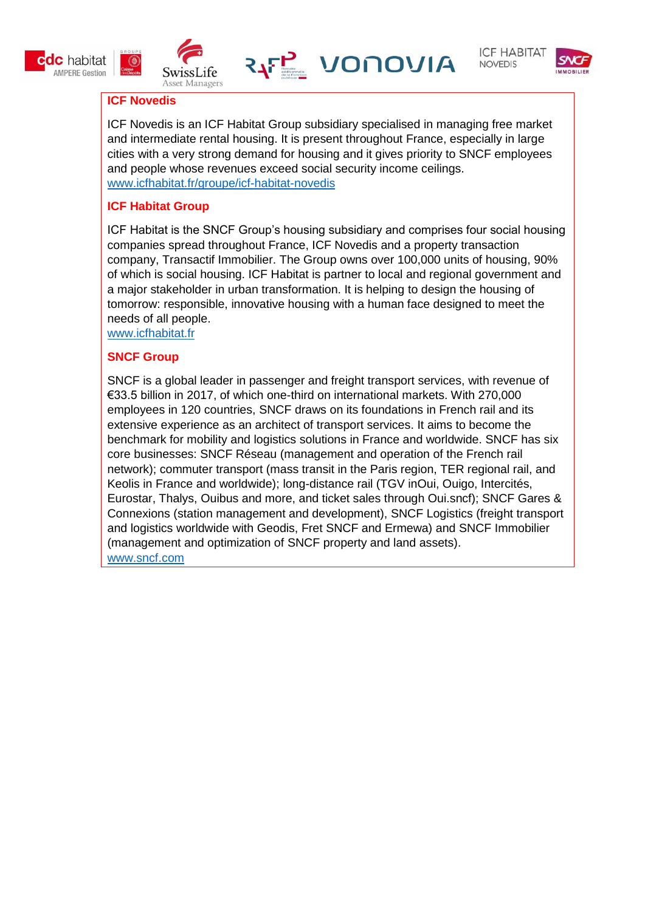







## **ICF Novedis**

 $\circ$ 

ICF Novedis is an ICF Habitat Group subsidiary specialised in managing free market and intermediate rental housing. It is present throughout France, especially in large cities with a very strong demand for housing and it gives priority to SNCF employees and people whose revenues exceed social security income ceilings. [www.icfhabitat.fr/groupe/icf-habitat-novedis](http://www.icfhabitat.fr/groupe/icf-habitat-novedis)

## **ICF Habitat Group**

ICF Habitat is the SNCF Group's housing subsidiary and comprises four social housing companies spread throughout France, ICF Novedis and a property transaction company, Transactif Immobilier. The Group owns over 100,000 units of housing, 90% of which is social housing. ICF Habitat is partner to local and regional government and a major stakeholder in urban transformation. It is helping to design the housing of tomorrow: responsible, innovative housing with a human face designed to meet the needs of all people.

[www.icfhabitat.fr](http://www.icfhabitat.fr/)

#### **SNCF Group**

SNCF is a global leader in passenger and freight transport services, with revenue of €33.5 billion in 2017, of which one-third on international markets. With 270,000 employees in 120 countries, SNCF draws on its foundations in French rail and its extensive experience as an architect of transport services. It aims to become the benchmark for mobility and logistics solutions in France and worldwide. SNCF has six core businesses: SNCF Réseau (management and operation of the French rail network); commuter transport (mass transit in the Paris region, TER regional rail, and Keolis in France and worldwide); long-distance rail (TGV inOui, Ouigo, Intercités, Eurostar, Thalys, Ouibus and more, and ticket sales through Oui.sncf); SNCF Gares & Connexions (station management and development), SNCF Logistics (freight transport and logistics worldwide with Geodis, Fret SNCF and Ermewa) and SNCF Immobilier (management and optimization of SNCF property and land assets). www.sncf.com